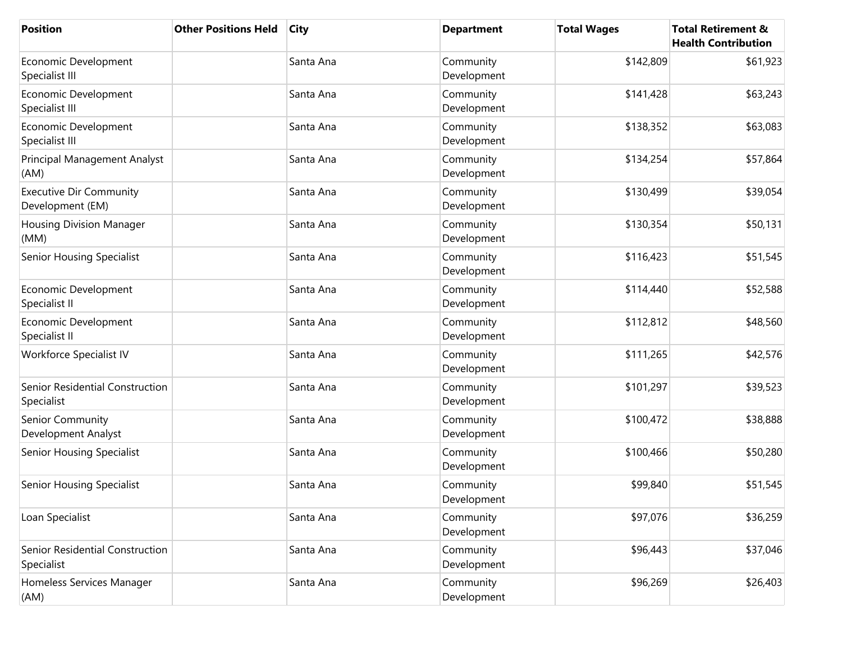| <b>Position</b>                                    | <b>Other Positions Held</b> | <b>City</b> | <b>Department</b>        | <b>Total Wages</b> | <b>Total Retirement &amp;</b><br><b>Health Contribution</b> |
|----------------------------------------------------|-----------------------------|-------------|--------------------------|--------------------|-------------------------------------------------------------|
| Economic Development<br>Specialist III             |                             | Santa Ana   | Community<br>Development | \$142,809          | \$61,923                                                    |
| Economic Development<br>Specialist III             |                             | Santa Ana   | Community<br>Development | \$141,428          | \$63,243                                                    |
| Economic Development<br>Specialist III             |                             | Santa Ana   | Community<br>Development | \$138,352          | \$63,083                                                    |
| Principal Management Analyst<br>(AM)               |                             | Santa Ana   | Community<br>Development | \$134,254          | \$57,864                                                    |
| <b>Executive Dir Community</b><br>Development (EM) |                             | Santa Ana   | Community<br>Development | \$130,499          | \$39,054                                                    |
| <b>Housing Division Manager</b><br>(MM)            |                             | Santa Ana   | Community<br>Development | \$130,354          | \$50,131                                                    |
| <b>Senior Housing Specialist</b>                   |                             | Santa Ana   | Community<br>Development | \$116,423          | \$51,545                                                    |
| Economic Development<br>Specialist II              |                             | Santa Ana   | Community<br>Development | \$114,440          | \$52,588                                                    |
| Economic Development<br>Specialist II              |                             | Santa Ana   | Community<br>Development | \$112,812          | \$48,560                                                    |
| Workforce Specialist IV                            |                             | Santa Ana   | Community<br>Development | \$111,265          | \$42,576                                                    |
| Senior Residential Construction<br>Specialist      |                             | Santa Ana   | Community<br>Development | \$101,297          | \$39,523                                                    |
| Senior Community<br>Development Analyst            |                             | Santa Ana   | Community<br>Development | \$100,472          | \$38,888                                                    |
| <b>Senior Housing Specialist</b>                   |                             | Santa Ana   | Community<br>Development | \$100,466          | \$50,280                                                    |
| <b>Senior Housing Specialist</b>                   |                             | Santa Ana   | Community<br>Development | \$99,840           | \$51,545                                                    |
| Loan Specialist                                    |                             | Santa Ana   | Community<br>Development | \$97,076           | \$36,259                                                    |
| Senior Residential Construction<br>Specialist      |                             | Santa Ana   | Community<br>Development | \$96,443           | \$37,046                                                    |
| Homeless Services Manager<br>(AM)                  |                             | Santa Ana   | Community<br>Development | \$96,269           | \$26,403                                                    |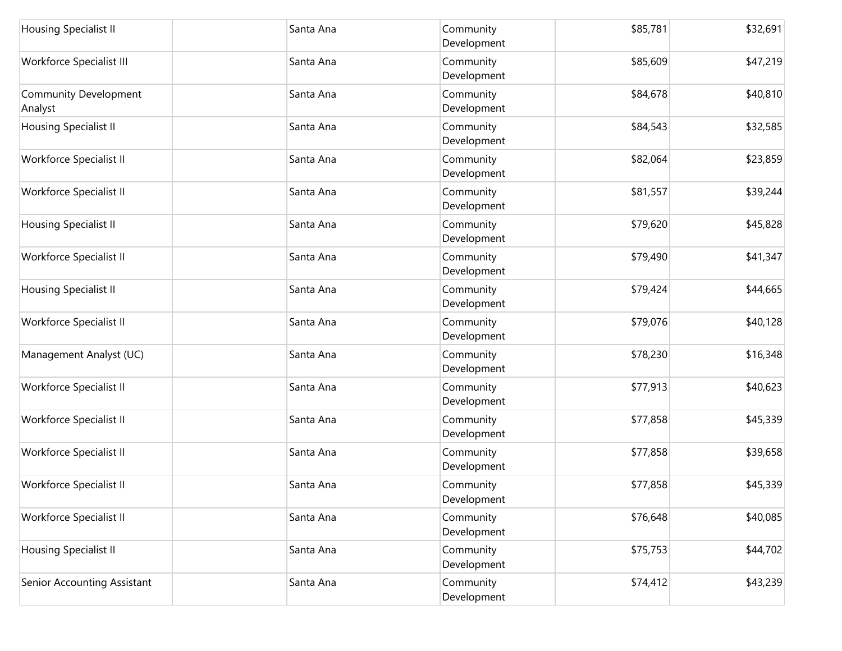| <b>Housing Specialist II</b>            | Santa Ana | Community<br>Development | \$85,781 | \$32,691 |
|-----------------------------------------|-----------|--------------------------|----------|----------|
| Workforce Specialist III                | Santa Ana | Community<br>Development | \$85,609 | \$47,219 |
| <b>Community Development</b><br>Analyst | Santa Ana | Community<br>Development | \$84,678 | \$40,810 |
| Housing Specialist II                   | Santa Ana | Community<br>Development | \$84,543 | \$32,585 |
| Workforce Specialist II                 | Santa Ana | Community<br>Development | \$82,064 | \$23,859 |
| Workforce Specialist II                 | Santa Ana | Community<br>Development | \$81,557 | \$39,244 |
| Housing Specialist II                   | Santa Ana | Community<br>Development | \$79,620 | \$45,828 |
| Workforce Specialist II                 | Santa Ana | Community<br>Development | \$79,490 | \$41,347 |
| Housing Specialist II                   | Santa Ana | Community<br>Development | \$79,424 | \$44,665 |
| Workforce Specialist II                 | Santa Ana | Community<br>Development | \$79,076 | \$40,128 |
| Management Analyst (UC)                 | Santa Ana | Community<br>Development | \$78,230 | \$16,348 |
| Workforce Specialist II                 | Santa Ana | Community<br>Development | \$77,913 | \$40,623 |
| Workforce Specialist II                 | Santa Ana | Community<br>Development | \$77,858 | \$45,339 |
| Workforce Specialist II                 | Santa Ana | Community<br>Development | \$77,858 | \$39,658 |
| Workforce Specialist II                 | Santa Ana | Community<br>Development | \$77,858 | \$45,339 |
| Workforce Specialist II                 | Santa Ana | Community<br>Development | \$76,648 | \$40,085 |
| Housing Specialist II                   | Santa Ana | Community<br>Development | \$75,753 | \$44,702 |
| Senior Accounting Assistant             | Santa Ana | Community<br>Development | \$74,412 | \$43,239 |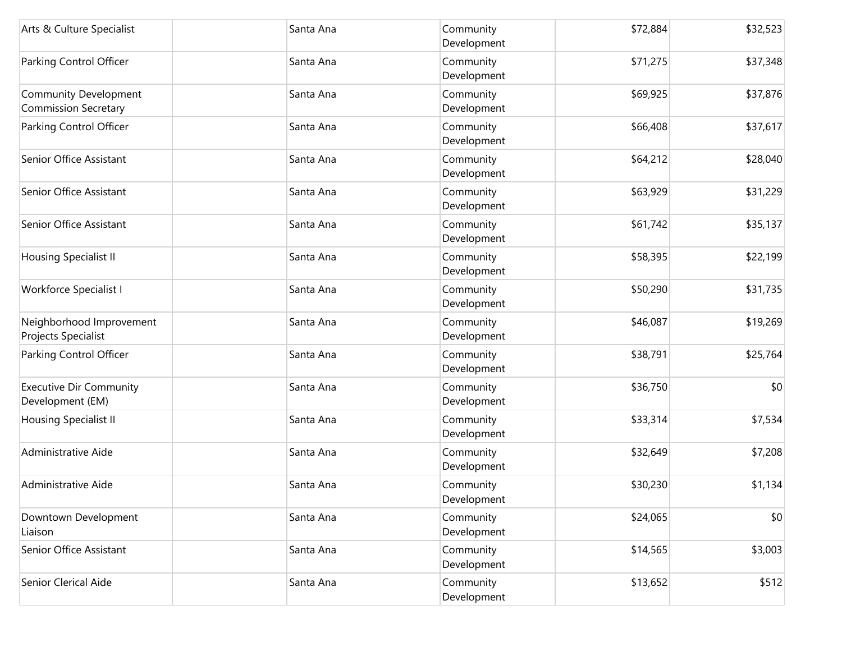| Arts & Culture Specialist                                   | Santa Ana | Community<br>Development | \$72,884 | \$32,523 |
|-------------------------------------------------------------|-----------|--------------------------|----------|----------|
| Parking Control Officer                                     | Santa Ana | Community<br>Development | \$71,275 | \$37,348 |
| <b>Community Development</b><br><b>Commission Secretary</b> | Santa Ana | Community<br>Development | \$69,925 | \$37,876 |
| Parking Control Officer                                     | Santa Ana | Community<br>Development | \$66,408 | \$37,617 |
| Senior Office Assistant                                     | Santa Ana | Community<br>Development | \$64,212 | \$28,040 |
| Senior Office Assistant                                     | Santa Ana | Community<br>Development | \$63,929 | \$31,229 |
| Senior Office Assistant                                     | Santa Ana | Community<br>Development | \$61,742 | \$35,137 |
| <b>Housing Specialist II</b>                                | Santa Ana | Community<br>Development | \$58,395 | \$22,199 |
| <b>Workforce Specialist I</b>                               | Santa Ana | Community<br>Development | \$50,290 | \$31,735 |
| Neighborhood Improvement<br>Projects Specialist             | Santa Ana | Community<br>Development | \$46,087 | \$19,269 |
| Parking Control Officer                                     | Santa Ana | Community<br>Development | \$38,791 | \$25,764 |
| <b>Executive Dir Community</b><br>Development (EM)          | Santa Ana | Community<br>Development | \$36,750 | \$0      |
| Housing Specialist II                                       | Santa Ana | Community<br>Development | \$33,314 | \$7,534  |
| Administrative Aide                                         | Santa Ana | Community<br>Development | \$32,649 | \$7,208  |
| Administrative Aide                                         | Santa Ana | Community<br>Development | \$30,230 | \$1,134  |
| Downtown Development<br>Liaison                             | Santa Ana | Community<br>Development | \$24,065 | \$0      |
| Senior Office Assistant                                     | Santa Ana | Community<br>Development | \$14,565 | \$3,003  |
| Senior Clerical Aide                                        | Santa Ana | Community<br>Development | \$13,652 | \$512    |